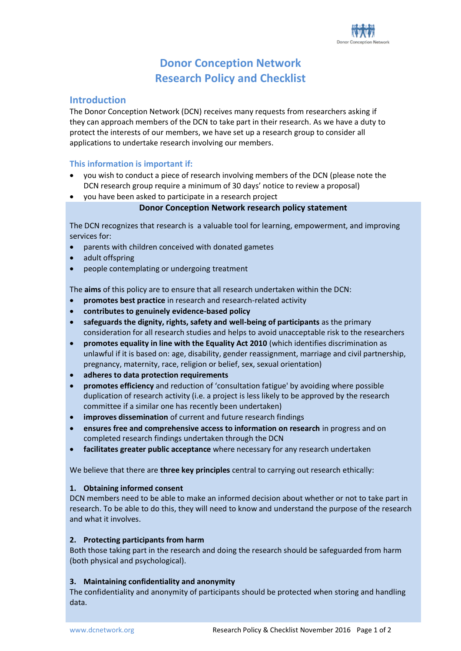# **Donor Conception Network Research Policy and Checklist**

### **Introduction**

The Donor Conception Network (DCN) receives many requests from researchers asking if they can approach members of the DCN to take part in their research. As we have a duty to protect the interests of our members, we have set up a research group to consider all applications to undertake research involving our members.

#### **This information is important if:**

- you wish to conduct a piece of research involving members of the DCN (please note the DCN research group require a minimum of 30 days' notice to review a proposal)
- you have been asked to participate in a research project

#### **Donor Conception Network research policy statement**

The DCN recognizes that research is a valuable tool for learning, empowerment, and improving services for:

- parents with children conceived with donated gametes
- adult offspring
- people contemplating or undergoing treatment

The **aims** of this policy are to ensure that all research undertaken within the DCN:

- **promotes best practice** in research and research-related activity
- **contributes to genuinely evidence-based policy**
- **safeguards the dignity, rights, safety and well-being of participants** as the primary consideration for all research studies and helps to avoid unacceptable risk to the researchers
- **promotes equality in line with the Equality Act 2010** (which identifies discrimination as unlawful if it is based on: age, disability, gender reassignment, marriage and civil partnership, pregnancy, maternity, race, religion or belief, sex, sexual orientation)
- **adheres to data protection requirements**
- **promotes efficiency** and reduction of 'consultation fatigue' by avoiding where possible duplication of research activity (i.e. a project is less likely to be approved by the research committee if a similar one has recently been undertaken)
- **improves dissemination** of current and future research findings
- **ensures free and comprehensive access to information on research** in progress and on completed research findings undertaken through the DCN
- **facilitates greater public acceptance** where necessary for any research undertaken

We believe that there are **three key principles** central to carrying out research ethically:

#### **1. Obtaining informed consent**

DCN members need to be able to make an informed decision about whether or not to take part in research. To be able to do this, they will need to know and understand the purpose of the research and what it involves.

#### **2. Protecting participants from harm**

Both those taking part in the research and doing the research should be safeguarded from harm (both physical and psychological).

#### **3. Maintaining confidentiality and anonymity**

The confidentiality and anonymity of participants should be protected when storing and handling data.